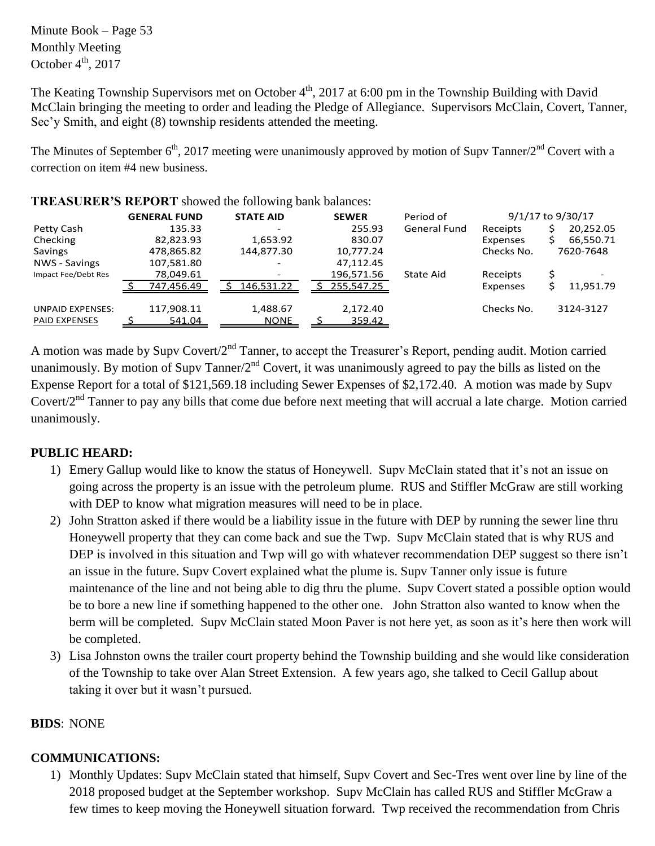Minute Book – Page 53 Monthly Meeting October  $4^{\text{th}}$ , 2017

The Keating Township Supervisors met on October  $4<sup>th</sup>$ , 2017 at 6:00 pm in the Township Building with David McClain bringing the meeting to order and leading the Pledge of Allegiance. Supervisors McClain, Covert, Tanner, Sec'y Smith, and eight (8) township residents attended the meeting.

The Minutes of September  $6<sup>th</sup>$ , 2017 meeting were unanimously approved by motion of Supv Tanner/2<sup>nd</sup> Covert with a correction on item #4 new business.

|                         | <b>GENERAL FUND</b> | <b>STATE AID</b> | <b>SEWER</b> | Period of    |                 | 9/1/17 to 9/30/17 |
|-------------------------|---------------------|------------------|--------------|--------------|-----------------|-------------------|
| Petty Cash              | 135.33              |                  | 255.93       | General Fund | Receipts        | 20,252.05         |
| Checking                | 82,823.93           | 1,653.92         | 830.07       |              | Expenses        | 66,550.71         |
| Savings                 | 478,865.82          | 144,877.30       | 10,777.24    |              | Checks No.      | 7620-7648         |
| NWS - Savings           | 107,581.80          |                  | 47,112.45    |              |                 |                   |
| Impact Fee/Debt Res     | 78,049.61           |                  | 196,571.56   | State Aid    | Receipts        |                   |
|                         | 747,456.49          | 146,531.22       | 255,547.25   |              | <b>Expenses</b> | 11,951.79         |
| <b>UNPAID EXPENSES:</b> | 117,908.11          | 1,488.67         | 2,172.40     |              | Checks No.      | 3124-3127         |
| <b>PAID EXPENSES</b>    | 541.04              | <b>NONE</b>      | 359.42       |              |                 |                   |

### **TREASURER'S REPORT** showed the following bank balances:

A motion was made by Supv Covert/2<sup>nd</sup> Tanner, to accept the Treasurer's Report, pending audit. Motion carried unanimously. By motion of Supv Tanner/2<sup>nd</sup> Covert, it was unanimously agreed to pay the bills as listed on the Expense Report for a total of \$121,569.18 including Sewer Expenses of \$2,172.40. A motion was made by Supv Covert/2<sup>nd</sup> Tanner to pay any bills that come due before next meeting that will accrual a late charge. Motion carried unanimously.

## **PUBLIC HEARD:**

- 1) Emery Gallup would like to know the status of Honeywell. Supv McClain stated that it's not an issue on going across the property is an issue with the petroleum plume. RUS and Stiffler McGraw are still working with DEP to know what migration measures will need to be in place.
- 2) John Stratton asked if there would be a liability issue in the future with DEP by running the sewer line thru Honeywell property that they can come back and sue the Twp. Supv McClain stated that is why RUS and DEP is involved in this situation and Twp will go with whatever recommendation DEP suggest so there isn't an issue in the future. Supv Covert explained what the plume is. Supv Tanner only issue is future maintenance of the line and not being able to dig thru the plume. Supv Covert stated a possible option would be to bore a new line if something happened to the other one. John Stratton also wanted to know when the berm will be completed. Supv McClain stated Moon Paver is not here yet, as soon as it's here then work will be completed.
- 3) Lisa Johnston owns the trailer court property behind the Township building and she would like consideration of the Township to take over Alan Street Extension. A few years ago, she talked to Cecil Gallup about taking it over but it wasn't pursued.

## **BIDS**: NONE

## **COMMUNICATIONS:**

1) Monthly Updates: Supv McClain stated that himself, Supv Covert and Sec-Tres went over line by line of the 2018 proposed budget at the September workshop. Supv McClain has called RUS and Stiffler McGraw a few times to keep moving the Honeywell situation forward. Twp received the recommendation from Chris